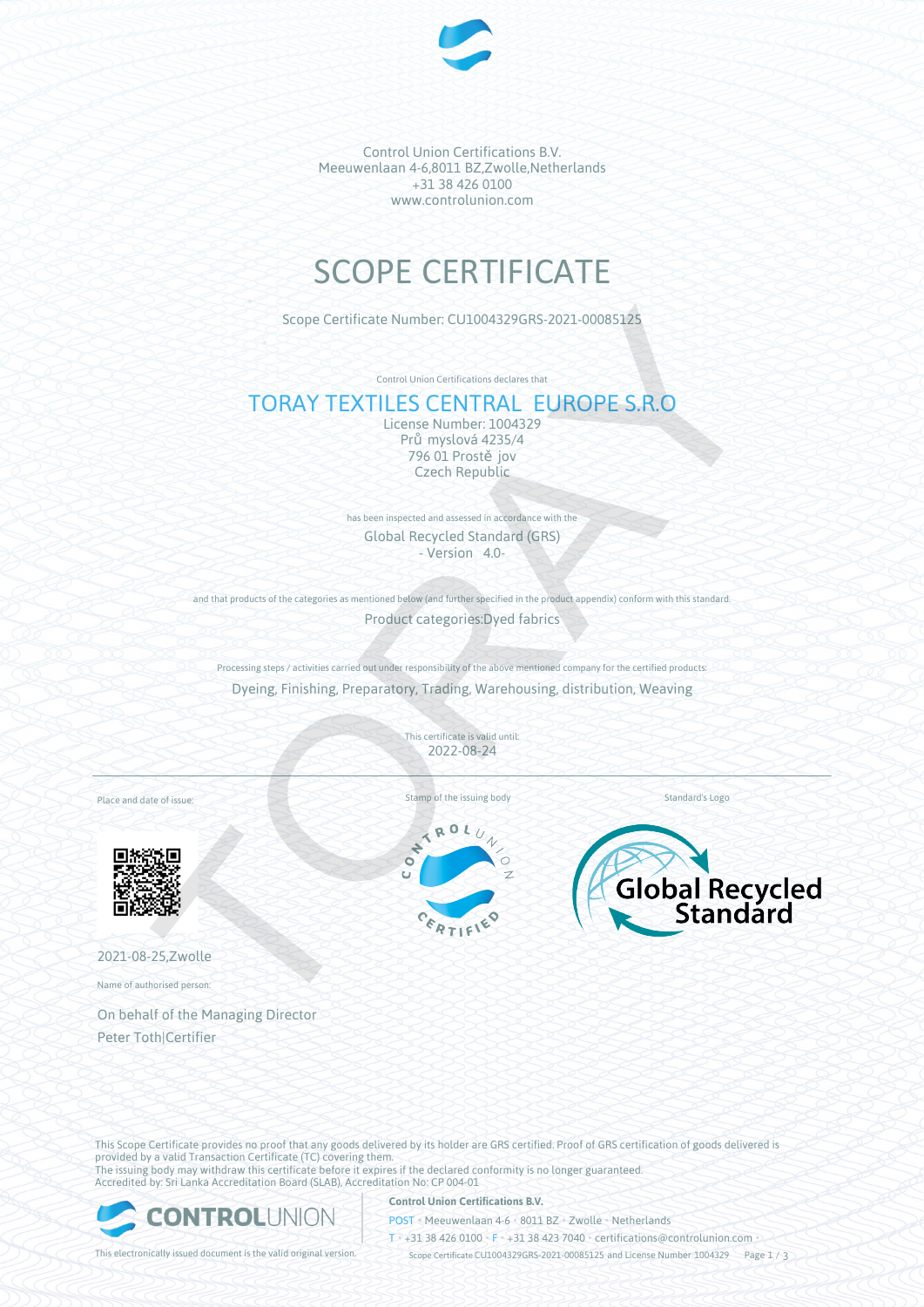

Control Union Certifications B.V. Meeuwenlaan 4-6,8011 BZ,Zwolle,Netherlands +31 38 426 0100 www.controlunion.com

# SCOPE CERTIFICATE

Scope Certificate Number: CU1004329GRS-2021-00085125

Control Union Certifications declares that

# TORAY TEXTILES CENTRAL EUROPE S.R.O

License Number: 1004329 Pr myslová 4235/4 796 01 Prost jov Czech Republic

has been inspected and assessed in accordance with the Global Recycled Standard (GRS) - Version 4.0-

and that products of the categories as mentioned below (and further specified in the product appendix) conform with this standard.

Product categories:Dyed fabrics

Processing steps / activities carried out under responsibility of the above mentioned company for the certified products: Dyeing, Finishing, Preparatory, Trading, Warehousing, distribution, Weaving

> This certificate is valid until: 2022-08-24

Place and date of issue:



2021-08-25,Zwolle

Name of authorised person:

On behalf of the Managing Director Peter Toth|Certifier





This Scope Certificate provides no proof that any goods delivered by its holder are GRS certified. Proof of GRS certification of goods delivered is provided by a valid Transaction Certificate (TC) covering them. The issuing body may withdraw this certificate before it expires if the declared conformity is no longer guaranteed. Accredited by: Sri Lanka Accreditation Board (SLAB), Accreditation No: CP 004-01



**Control Union Certifications B.V.**

POST • Meeuwenlaan 4-6 • 8011 BZ • Zwolle • Netherlands

T • +31 38 426 0100 • F • +31 38 423 7040 • certifications@controlunion.com •

This electronically issued document is the valid original version. Scope Certificate CU1004329GRS-2021-00085125 and License Number 1004329 Page 1 / 3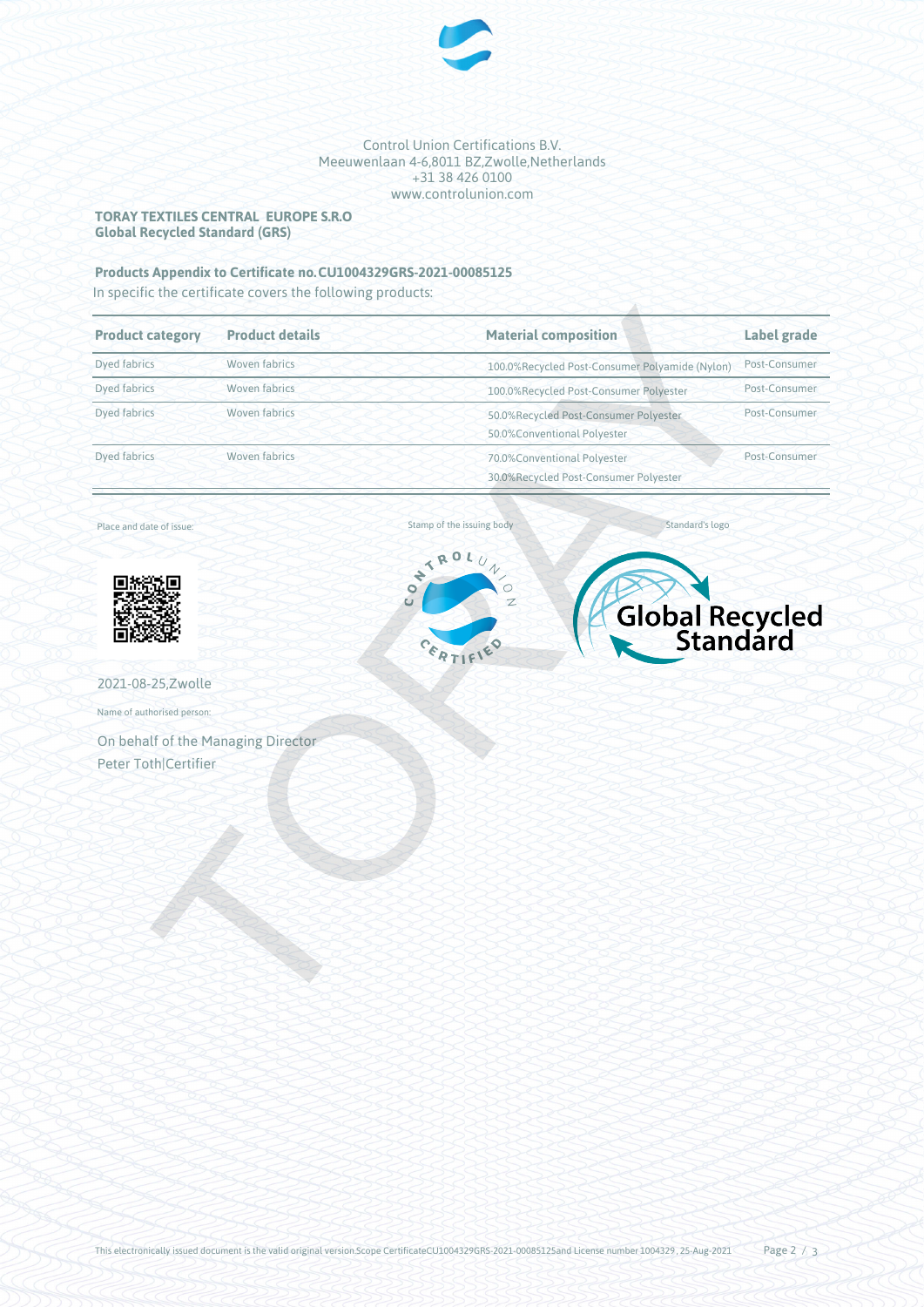

## Control Union Certifications B.V. Meeuwenlaan 4-6,8011 BZ,Zwolle,Netherlands +31 38 426 0100 www.controlunion.com

# **TORAY TEXTILES CENTRAL EUROPE S.R.O Global Recycled Standard (GRS)**

# **Products Appendix to Certificate no.CU1004329GRS-2021-00085125**

In specific the certificate covers the following products:

| <b>Product category</b>                                    | <b>Product details</b> | <b>Material composition</b>                                                      | <b>Label grade</b> |
|------------------------------------------------------------|------------------------|----------------------------------------------------------------------------------|--------------------|
| <b>Dyed fabrics</b>                                        | Woven fabrics          | 100.0%Recycled Post-Consumer Polyamide (Nylon)                                   | Post-Consumer      |
| Dyed fabrics                                               | Woven fabrics          | 100.0%Recycled Post-Consumer Polyester                                           | Post-Consumer      |
| <b>Dyed fabrics</b>                                        | Woven fabrics          | 50.0%Recycled Post-Consumer Polyester<br>50.0%Conventional Polyester             | Post-Consumer      |
| Dyed fabrics                                               | Woven fabrics          | 70.0%Conventional Polyester<br>30.0%Recycled Post-Consumer Polyester             | Post-Consumer      |
| Place and date of issue:                                   |                        | Standard's logo<br>Stamp of the issuing body                                     |                    |
|                                                            |                        | CONTROL<br>$\overline{U}$<br>$\circ$<br>$\mathbb{Z}$<br>Global Recycled<br>TIFIE |                    |
| 2021-08-25, Zwolle                                         |                        |                                                                                  |                    |
| Name of authorised person:                                 |                        |                                                                                  |                    |
| On behalf of the Managing Director<br>Peter Toth Certifier |                        |                                                                                  |                    |